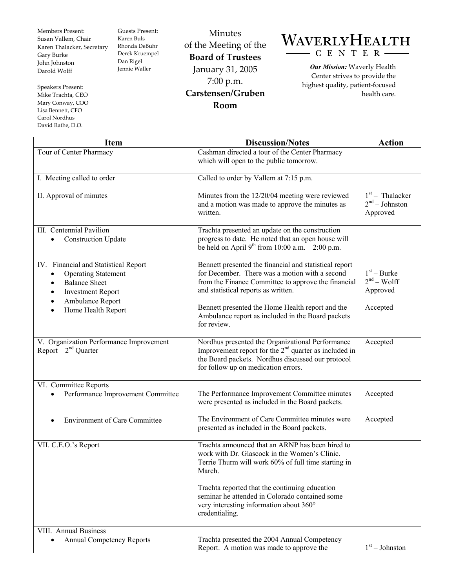Members Present: Susan Vallem, Chair Karen Thalacker, Secretary Gary Burke John Johnston Darold Wolff

Speakers Present: Mike Trachta, CEO Mary Conway, COO Lisa Bennett, CFO Carol Nordhus David Rathe, D.O.

Guests Present: Karen Buls Rhonda DeBuhr Derek Kruempel Dan Rigel Jennie Waller

Minutes of the Meeting of the **Board of Trustees**  January 31, 2005 7:00 p.m. **Carstensen/Gruben Room** 

## WAVERLYHEALTH C E N T E R

*Our Mission:* Waverly Health Center strives to provide the highest quality, patient-focused health care.

| <b>Item</b>                                                                                                                                                                   | <b>Discussion/Notes</b>                                                                                                                                                                                                                                                                                                             | <b>Action</b>                                         |
|-------------------------------------------------------------------------------------------------------------------------------------------------------------------------------|-------------------------------------------------------------------------------------------------------------------------------------------------------------------------------------------------------------------------------------------------------------------------------------------------------------------------------------|-------------------------------------------------------|
| Tour of Center Pharmacy                                                                                                                                                       | Cashman directed a tour of the Center Pharmacy<br>which will open to the public tomorrow.                                                                                                                                                                                                                                           |                                                       |
| I. Meeting called to order                                                                                                                                                    | Called to order by Vallem at 7:15 p.m.                                                                                                                                                                                                                                                                                              |                                                       |
| II. Approval of minutes                                                                                                                                                       | Minutes from the 12/20/04 meeting were reviewed<br>and a motion was made to approve the minutes as<br>written.                                                                                                                                                                                                                      | $1st$ – Thalacker<br>$2nd - Johnston$<br>Approved     |
| III. Centennial Pavilion<br><b>Construction Update</b>                                                                                                                        | Trachta presented an update on the construction<br>progress to date. He noted that an open house will<br>be held on April 9 <sup>th</sup> from 10:00 a.m. $- 2:00$ p.m.                                                                                                                                                             |                                                       |
| IV. Financial and Statistical Report<br><b>Operating Statement</b><br><b>Balance Sheet</b><br>$\bullet$<br><b>Investment Report</b><br>Ambulance Report<br>Home Health Report | Bennett presented the financial and statistical report<br>for December. There was a motion with a second<br>from the Finance Committee to approve the financial<br>and statistical reports as written.<br>Bennett presented the Home Health report and the<br>Ambulance report as included in the Board packets<br>for review.      | $1st - Burke$<br>$2nd - Wolf$<br>Approved<br>Accepted |
| V. Organization Performance Improvement<br>Report $-2nd$ Quarter                                                                                                              | Nordhus presented the Organizational Performance<br>Improvement report for the 2 <sup>nd</sup> quarter as included in<br>the Board packets. Nordhus discussed our protocol<br>for follow up on medication errors.                                                                                                                   | Accepted                                              |
| VI. Committee Reports<br>Performance Improvement Committee                                                                                                                    | The Performance Improvement Committee minutes<br>were presented as included in the Board packets.                                                                                                                                                                                                                                   | Accepted                                              |
| <b>Environment of Care Committee</b>                                                                                                                                          | The Environment of Care Committee minutes were<br>presented as included in the Board packets.                                                                                                                                                                                                                                       | Accepted                                              |
| VII. C.E.O.'s Report                                                                                                                                                          | Trachta announced that an ARNP has been hired to<br>work with Dr. Glascock in the Women's Clinic.<br>Terrie Thurm will work 60% of full time starting in<br>March.<br>Trachta reported that the continuing education<br>seminar he attended in Colorado contained some<br>very interesting information about 360°<br>credentialing. |                                                       |
| <b>VIII.</b> Annual Business<br><b>Annual Competency Reports</b><br>$\bullet$                                                                                                 | Trachta presented the 2004 Annual Competency<br>Report. A motion was made to approve the                                                                                                                                                                                                                                            | $1st - Johnston$                                      |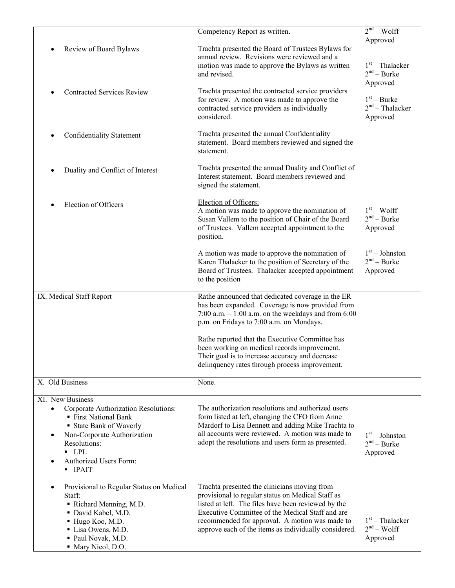|                                                               | Competency Report as written.                                                                            | $2nd - Wolf$                       |
|---------------------------------------------------------------|----------------------------------------------------------------------------------------------------------|------------------------------------|
| Review of Board Bylaws                                        | Trachta presented the Board of Trustees Bylaws for                                                       | Approved                           |
|                                                               | annual review. Revisions were reviewed and a                                                             |                                    |
|                                                               | motion was made to approve the Bylaws as written<br>and revised.                                         | $1st$ – Thalacker<br>$2nd - Burke$ |
|                                                               |                                                                                                          | Approved                           |
| <b>Contracted Services Review</b>                             | Trachta presented the contracted service providers                                                       |                                    |
|                                                               | for review. A motion was made to approve the<br>contracted service providers as individually             | $1st - Burke$<br>$2nd$ – Thalacker |
|                                                               | considered.                                                                                              | Approved                           |
| Confidentiality Statement                                     | Trachta presented the annual Confidentiality                                                             |                                    |
|                                                               | statement. Board members reviewed and signed the<br>statement.                                           |                                    |
| Duality and Conflict of Interest                              | Trachta presented the annual Duality and Conflict of<br>Interest statement. Board members reviewed and   |                                    |
|                                                               | signed the statement.                                                                                    |                                    |
| Election of Officers                                          | Election of Officers:                                                                                    |                                    |
|                                                               | A motion was made to approve the nomination of<br>Susan Vallem to the position of Chair of the Board     | $1st - Wolf$<br>$2nd - Burke$      |
|                                                               | of Trustees. Vallem accepted appointment to the                                                          | Approved                           |
|                                                               | position.                                                                                                |                                    |
|                                                               | A motion was made to approve the nomination of                                                           | $1st - Johnston$                   |
|                                                               | Karen Thalacker to the position of Secretary of the<br>Board of Trustees. Thalacker accepted appointment | $2nd - Burke$<br>Approved          |
|                                                               | to the position                                                                                          |                                    |
| IX. Medical Staff Report                                      | Rathe announced that dedicated coverage in the ER                                                        |                                    |
|                                                               | has been expanded. Coverage is now provided from                                                         |                                    |
|                                                               | 7:00 a.m. $-1:00$ a.m. on the weekdays and from 6:00<br>p.m. on Fridays to 7:00 a.m. on Mondays.         |                                    |
|                                                               |                                                                                                          |                                    |
|                                                               | Rathe reported that the Executive Committee has<br>been working on medical records improvement.          |                                    |
|                                                               | Their goal is to increase accuracy and decrease                                                          |                                    |
|                                                               | delinquency rates through process improvement.                                                           |                                    |
| X. Old Business                                               | None.                                                                                                    |                                    |
| XI. New Business                                              |                                                                                                          |                                    |
| Corporate Authorization Resolutions:<br>■ First National Bank | The authorization resolutions and authorized users<br>form listed at left, changing the CFO from Anne    |                                    |
| ■ State Bank of Waverly                                       | Mardorf to Lisa Bennett and adding Mike Trachta to                                                       |                                    |
| Non-Corporate Authorization                                   | all accounts were reviewed. A motion was made to                                                         | $1st - Johnston$                   |
| Resolutions:<br>$\blacksquare$ LPL                            | adopt the resolutions and users form as presented.                                                       | $2nd - Burke$<br>Approved          |
| Authorized Users Form:<br>$\bullet$<br>$\blacksquare$ IPAIT   |                                                                                                          |                                    |
| Provisional to Regular Status on Medical<br>٠                 | Trachta presented the clinicians moving from                                                             |                                    |
| Staff:<br>Richard Menning, M.D.                               | provisional to regular status on Medical Staff as<br>listed at left. The files have been reviewed by the |                                    |
| • David Kabel, M.D.                                           | Executive Committee of the Medical Staff and are                                                         |                                    |
| Hugo Koo, M.D.                                                | recommended for approval. A motion was made to                                                           | $1st$ – Thalacker<br>$2nd - Wolf$  |
| Lisa Owens, M.D.<br>Paul Novak, M.D.                          | approve each of the items as individually considered.                                                    | Approved                           |
| • Mary Nicol, D.O.                                            |                                                                                                          |                                    |